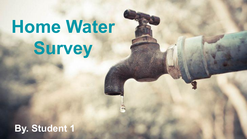# **Home Water Survey**

# **By. Student 1**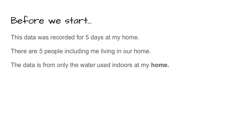### Before we start...

This data was recorded for 5 days at my home.

There are 5 people including me living in our home.

The data is from only the water used indoors at my **home.**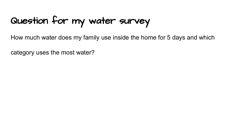# Question for my water survey

How much water does my family use inside the home for 5 days and which

category uses the most water?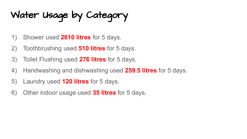Water Usage by Category

- 1) Shower used **2610 litres** for 5 days.
- 2) Toothbrushing used **510 litres** for 5 days.
- 3) Toilet Flushing used **276 litres** for 5 days.
- 4) Handwashing and dishwashing used **259.5 litres** for 5 days.
- 5) Laundry used **120 litres** for 5 days.
- 6) Other indoor usage used **35 litres** for 5 days.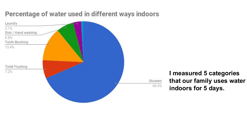### Percentage of water used in different ways indoors

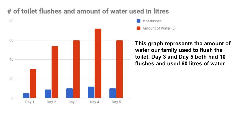### # of toilet flushes and amount of water used in litres



# of flushes Amount of Water (L)

**This graph represents the amount of water our family used to flush the toilet. Day 3 and Day 5 both had 10 flushes and used 60 litres of water.**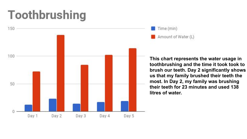# **Toothbrushing**



Time (min) Amount of Water (L)

**This chart represents the water usage in toothbrushing and the time it took took to brush our teeth. Day 2 significantly shows us that my family brushed their teeth the most. In Day 2, my family was brushing their teeth for 23 minutes and used 138 litres of water.**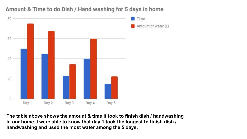

Amount & Time to do Dish / Hand washing for 5 days in home

**The table above shows the amount & time it took to finish dish / handwashing in our home. I were able to know that day 1 took the longest to finish dish / handwashing and used the most water among the 5 days.**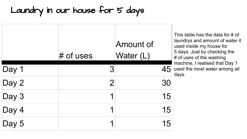### Laundry in our house for 5 days

|       | $#$ of uses    | Amount of<br>Water (L) |
|-------|----------------|------------------------|
| Day 1 | З              | 45                     |
| Day 2 | $\overline{2}$ | 30                     |
| Day 3 | 1              | 15                     |
| Day 4 | ◀              | 15                     |
| Day 5 | ◀              | 15                     |

This table has the data for # of laundrys and amount of water it used inside my house for 5 days. Just by checking the # of uses of the washing machine, I realised that Day 1 used the most water among all days.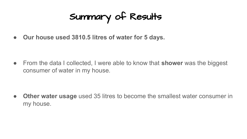# Summary of Results

**● Our house used 3810.5 litres of water for 5 days.**

● From the data I collected, I were able to know that **shower** was the biggest consumer of water in my house.

**● Other water usage** used 35 litres to become the smallest water consumer in my house.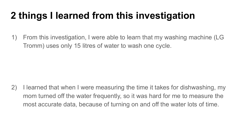# **2 things I learned from this investigation**

1) From this investigation, I were able to learn that my washing machine (LG Tromm) uses only 15 litres of water to wash one cycle.

2) I learned that when I were measuring the time it takes for dishwashing, my mom turned off the water frequently, so it was hard for me to measure the most accurate data, because of turning on and off the water lots of time.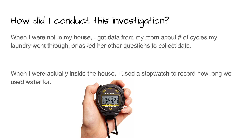# How did I conduct this investigation?

When I were not in my house, I got data from my mom about # of cycles my laundry went through, or asked her other questions to collect data.

When I were actually inside the house, I used a stopwatch to record how long we used water for.

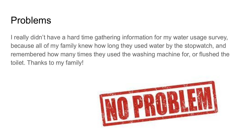### Problems

I really didn't have a hard time gathering information for my water usage survey, because all of my family knew how long they used water by the stopwatch, and remembered how many times they used the washing machine for, or flushed the toilet. Thanks to my family!